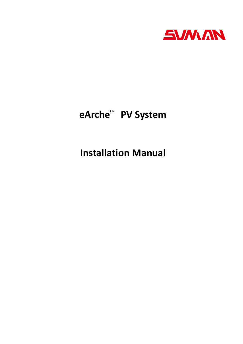

# **eArche<sup>™</sup> PV System**

**Installation Manual**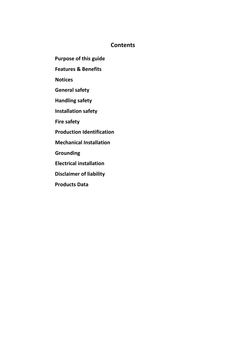# **Contents**

- **Purpose of this guide**
- **Features & Benefits**
- **Notices**
- **General safety**
- **Handling safety**
- **Installation safety**
- **Fire safety**
- **Production Identification**
- **Mechanical Installation**
- **Grounding**
- **Electrical installation**
- **Disclaimer of liability**
- **Products Data**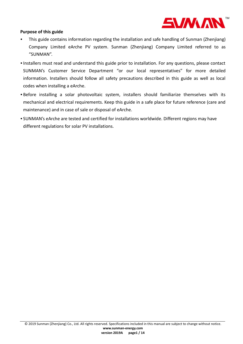

#### **Purpose of this guide**

- This guide contains information regarding the installation and safe handling of Sunman (Zhenjiang) Company Limited eArche PV system. Sunman (Zhenjiang) Company Limited referred to as "SUNMAN".
- Installers must read and understand this guide prior to installation. For any questions, please contact SUNMAN's Customer Service Department "or our local representatives" for more detailed information. Installers should follow all safety precautions described in this guide as well as local codes when installing a eArche.
- Before installing a solar photovoltaic system, installers should familiarize themselves with its mechanical and electrical requirements. Keep this guide in a safe place for future reference (care and maintenance) and in case of sale or disposal of eArche.
- SUNMAN's eArche are tested and certified for installations worldwide. Different regions may have different regulations for solar PV installations.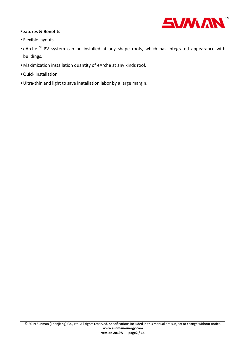

# **Features & Benefits**

- Flexible layouts
- eArche<sup>TM</sup> PV system can be installed at any shape roofs, which has integrated appearance with buildings.
- Maximization installation quantity of eArche at any kinds roof.
- •Quick installation
- •Ultra-thin and light to save inatallation labor by a large margin.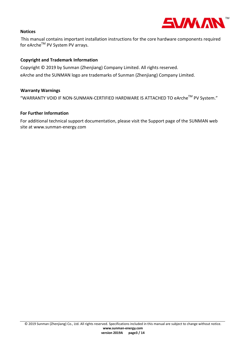

#### **Notices**

This manual contains important installation instructions for the core hardware components required for eArche™ PV System PV arrays.

### **Copyright and Trademark Information**

Copyright © 2019 by Sunman (Zhenjiang) Company Limited. All rights reserved. eArche and the SUNMAN logo are trademarks of Sunman (Zhenjiang) Company Limited.

#### **Warranty Warnings**

"WARRANTY VOID IF NON-SUNMAN-CERTIFIED HARDWARE IS ATTACHED TO eArche™ PV System."

#### **For Further Information**

For additional technical support documentation, please visit the Support page of the SUNMAN web site at www.sunman-energy.com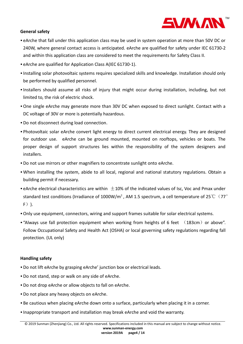

# **General safety**

- eArche that fall under this application class may be used in system operation at more than 50V DC or 240W, where general contact access is anticipated. eArche are qualified for safety under IEC 61730-2 and within this application class are considered to meet the requirements for Safety Class II.
- eArche are qualified for Application Class A(IEC 61730-1).
- Installing solar photovoltaic systems requires specialized skills and knowledge. Installation should only be performed by qualified personnel.
- Installers should assume all risks of injury that might occur during installation, including, but not limited to, the risk of electric shock.
- •One single eArche may generate more than 30V DC when exposed to direct sunlight. Contact with a DC voltage of 30V or more is potentially hazardous.
- •Do not disconnect during load connection.
- Photovoltaic solar eArche convert light energy to direct current electrical energy. They are designed for outdoor use. eArche can be ground mounted, mounted on rooftops, vehicles or boats. The proper design of support structures lies within the responsibility of the system designers and installers.
- •Do not use mirrors or other magnifiers to concentrate sunlight onto eArche.
- When installing the system, abide to all local, regional and national statutory regulations. Obtain a building permit if necessary.
- eArche electrical characteristics are within  $\pm$ 10% of the indicated values of Isc, Voc and Pmax under standard test conditions (Irradiance of 1000W/m<sup>2</sup>, AM 1.5 spectrum, a cell temperature of 25 °C (77°  $F)$ ).
- •Only use equipment, connectors, wiring and support frames suitable for solar electrical systems.
- "Always use fall protection equipment when working from heights of 6 feet  $(183cm)$  or above". Follow Occupational Safety and Health Act (OSHA) or local governing safety regulations regarding fall protection. (UL only)

#### **Handling safety**

- •Do not lift eArche by grasping eArche' junction box or electrical leads.
- •Do not stand, step or walk on any side of eArche.
- •Do not drop eArche or allow objects to fall on eArche.
- •Do not place any heavy objects on eArche.
- Be cautious when placing eArche down onto a surface, particularly when placing it in a corner.
- Inappropriate transport and installation may break eArche and void the warranty.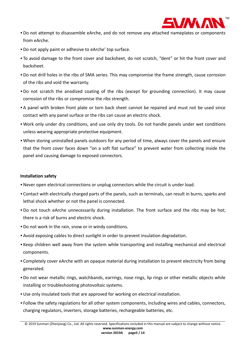

- •Do not attempt to disassemble eArche, and do not remove any attached nameplates or components from eArche.
- •Do not apply paint or adhesive to eArche' top surface.
- To avoid damage to the front cover and backsheet, do not scratch, "dent" or hit the front cover and backsheet.
- •Do not drill holes in the ribs of SMA series. This may compromise the frame strength, cause corrosion of the ribs and void the warranty.
- •Do not scratch the anodized coating of the ribs (except for grounding connection). It may cause corrosion of the ribs or compromise the ribs strength.
- A panel with broken front plate or torn back sheet cannot be repaired and must not be used since contact with any panel surface or the ribs can cause an electric shock.
- Work only under dry conditions, and use only dry tools. Do not handle panels under wet conditions unless wearing appropriate protective equipment.
- When storing uninstalled panels outdoors for any period of time, always cover the panels and ensure that the front cover faces down "on a soft flat surface" to prevent water from collecting inside the panel and causing damage to exposed connectors.

## **Installation safety**

- •Never open electrical connections or unplug connectors while the circuit is under load.
- Contact with electrically charged parts of the panels, such as terminals, can result in burns, sparks and lethal shock whether or not the panel is connected.
- •Do not touch eArche unnecessarily during installation. The front surface and the ribs may be hot; there is a risk of burns and electric shock.
- •Do not work in the rain, snow or in windy conditions.
- Avoid exposing cables to direct sunlight in order to prevent insulation degradation.
- Keep children well away from the system while transporting and installing mechanical and electrical components.
- Completely cover eArche with an opaque material during installation to prevent electricity from being generated.
- •Do not wear metallic rings, watchbands, earrings, nose rings, lip rings or other metallic objects while installing or troubleshooting photovoltaic systems.
- •Use only insulated tools that are approved for working on electrical installation.
- Follow the safety regulations for all other system components, including wires and cables, connectors, charging regulators, inverters, storage batteries, rechargeable batteries, etc.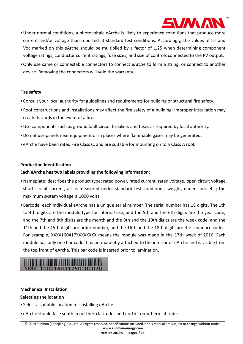

- •Under normal conditions, a photovoltaic eArche is likely to experience conditions that produce more current and/or voltage than reported at standard test conditions. Accordingly, the values of Isc and Voc marked on this eArche should be multiplied by a factor of 1.25 when determining component voltage ratings, conductor current ratings, fuse sizes, and size of controls connected to the PV output.
- •Only use same or connectable connectors to connect eArche to form a string, or connect to another device. Removing the connectors will void the warranty.

#### **Fire safety**

- Consult your local authority for guidelines and requirements for building or structural fire safety.
- Roof constructions and installations may affect the fire safety of a building; improper installation may create hazards in the event of a fire.
- •Use components such as ground fault circuit breakers and fuses as required by local authority.
- •Do not use panels near equipment or in places where flammable gases may be generated.
- eArche have been rated Fire Class C, and are suitable for mounting on to a Class A roof.

#### **Production Identification**

#### **Each eArche has two labels providing the following information:**

- •Nameplate: describes the product type; rated power, rated current, rated voltage, open circuit voltage, short circuit current, all as measured under standard test conditions; weight, dimensions etc.; the maximum system voltage is 1000 volts.
- Barcode: each individual eArche has a unique serial number. The serial number has 18 digits. The 1th to 4th digits are the module type for internal use, and the 5th and the 6th digits are the year code, and the 7th and 8th digits are the month and the 9th and the 10th digits are the week code, and the 11th and the 15th digits are order number, and the 16th and the 18th digits are the sequence codes. For example, XXXX160417XXXXXXXX means the module was made in the 17th week of 2016. Each module has only one bar code. It is permanently attached to the interior of eArche and is visible from the top front of eArche. This bar code is inserted prior to lamination.



#### **Mechanical Installation**

#### **Selecting the location**

- Select a suitable location for installing eArche.
- eArche should face south in northern latitudes and north in southern latitudes.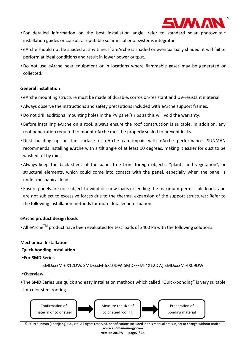

- For detailed information on the best installation angle, refer to standard solar photovoltaic installation guides or consult a reputable solar installer or systems integrator.
- eArche should not be shaded at any time. If a eArche is shaded or even partially shaded, it will fail to perform at ideal conditions and result in lower power output.
- •Do not use eArche near equipment or in locations where flammable gases may be generated or collected.

#### **General installation**

- eArche mounting structure must be made of durable, corrosion-resistant and UV-resistant material.
- Always observe the instructions and safety precautions included with eArche support frames.
- •Do not drill additional mounting holes in the PV panel's ribs as this will void the warranty.
- Before installing eArche on a roof, always ensure the roof construction is suitable. In addition, any roof penetration required to mount eArche must be properly sealed to prevent leaks.
- •Dust building up on the surface of eArche can impair with eArche performance. SUNMAN recommends installing eArche with a tilt angle of at least 10 degrees, making it easier for dust to be washed off by rain.
- Always keep the back sheet of the panel free from foreign objects, "plants and vegetation", or structural elements, which could come into contact with the panel, especially when the panel is under mechanical load.
- Ensure panels are not subject to wind or snow loads exceeding the maximum permissible loads, and are not subject to excessive forces due to the thermal expansion of the support structures: Refer to the following installation methods for more detailed information.

#### **eArche product design loads**

• All eArche<sup>TM</sup> product have been evaluated for test loads of 2400 Pa with the following solutions.

# **Mechanical Installation**

#### **Quick-bonding Installation**

#### ▶**For SMD Series**

SMDxxxM-6X12DW, SMDxxxM-6X10DW, SMDxxxM-4X12DW, SMDxxxM-4X09DW

#### ▶**Overview**

• The SMD Series use quick and easy installation methods which called "Quick-bonding" is very suitable for color steel roofing.



© 2019 Sunman (Zhenjiang) Co., Ltd. All rights reserved. Specifications included in this manual are subject to change without notice. **www.sunman-energy.com**

**version 2019A page7 / 14**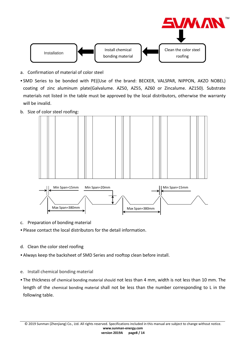$$
\begin{array}{c}\n\text{Installation} \\
\hline\n\end{array}
$$
\n
$$
\begin{array}{c}\n\text{Install chemicalbonding material\n\end{array}
$$
\n
$$
\begin{array}{c}\n\text{Clean the color steelroofing\n\end{array}
$$

- a. Confirmation of material of color steel
- SMD Series to be bonded with PE((Use of the brand: BECKER, VALSPAR, NIPPON, AKZO NOBEL) coating of zinc aluminum plate(Galvalume. AZ50, AZ55, AZ60 or Zincalume. AZ150). Substrate materials not listed in the table must be approved by the local distributors, otherwise the warranty will be invalid.
- b. Size of color steel roofing:



- c. Preparation of bonding material
- Please contact the local distributors for the detail information.
- d. Clean the color steel roofing
- Always keep the backsheet of SMD Series and rooftop clean before install.
- e. Install chemical bonding material
- The thickness of chemical bonding material should not less than 4 mm, width is not less than 10 mm. The length of the chemical bonding material shall not be less than the number corresponding to L in the following table.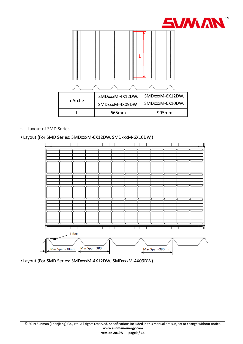

## f. Layout of SMD Series

#### • Layout (For SMD Series: SMDxxxM-6X12DW, SMDxxxM-6X10DW,)



• Layout (For SMD Series: SMDxxxM-4X12DW, SMDxxxM-4X09DW)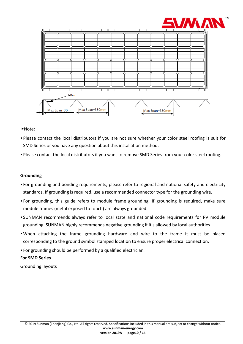



- ▶Note:
- Please contact the local distributors if you are not sure whether your color steel roofing is suit for SMD Series or you have any question about this installation method.
- Please contact the local distributors if you want to remove SMD Series from your color steel roofing.

#### **Grounding**

- For grounding and bonding requirements, please refer to regional and national safety and electricity standards. If grounding is required, use a recommended connector type for the grounding wire.
- For grounding, this guide refers to module frame grounding. If grounding is required, make sure module frames (metal exposed to touch) are always grounded.
- SUNMAN recommends always refer to local state and national code requirements for PV module grounding. SUNMAN highly recommends negative grounding if it's allowed by local authorities.
- When attaching the frame grounding hardware and wire to the frame it must be placed corresponding to the ground symbol stamped location to ensure proper electrical connection.
- For grounding should be performed by a qualified electrician.

#### **For SMD Series**

Grounding layouts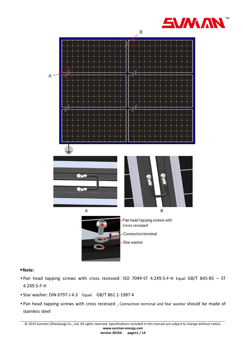



#### ▶**Note:**

- Pan head tapping screws with cross recessed: ISO 7049-ST 4.2X9.5-F-H Equal GB/T 845-85 ST 4.2X9.5-F-H
- Star washer: DIN 6797-J 4.3 Equal GB/T 861.1-1987 4
- Pan head tapping screws with cross recessed , Connection terminal and Star washer should be made of stainless steel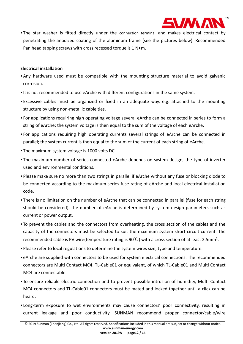

• The star washer is fitted directly under the connection terminal and makes electrical contact by penetrating the anodized coating of the aluminum frame (see the pictures below). Recommended Pan head tapping screws with cross recessed torque is 1 N•m.

#### **Electrical installation**

- Any hardware used must be compatible with the mounting structure material to avoid galvanic corrosion.
- It is not recommended to use eArche with different configurations in the same system.
- Excessive cables must be organized or fixed in an adequate way, e.g. attached to the mounting structure by using non-metallic cable ties.
- For applications requiring high operating voltage several eArche can be connected in series to form a string of eArche; the system voltage is then equal to the sum of the voltage of each eArche.
- For applications requiring high operating currents several strings of eArche can be connected in parallel; the system current is then equal to the sum of the current of each string of eArche.
- The maximum system voltage is 1000 volts DC.
- The maximum number of series connected eArche depends on system design, the type of inverter used and environmental conditions.
- Please make sure no more than two strings in parallel if eArche without any fuse or blocking diode to be connected according to the maximum series fuse rating of eArche and local electrical installation code.
- There is no limitation on the number of eArche that can be connected in parallel (fuse for each string should be considered), the number of eArche is determined by system design parameters such as current or power output.
- To prevent the cables and the connectors from overheating, the cross section of the cables and the capacity of the connectors must be selected to suit the maximum system short circuit current. The recommended cable is PV wire(temperature rating is 90℃) with a cross section of at least 2.5mm².
- Please refer to local regulations to determine the system wires size, type and temperature.
- eArche are supplied with connectors to be used for system electrical connections. The recommended connectors are Multi Contact MC4, TL-Cable01 or equivalent, of which TL-Cable01 and Multi Contact MC4 are connectable.
- To ensure reliable electric connection and to prevent possible intrusion of humidity, Multi Contact MC4 connectors and TL-Cable01 connectors must be mated and locked together until a click can be heard.
- Long-term exposure to wet environments may cause connectors' poor connectivity, resulting in current leakage and poor conductivity. SUNMAN recommend proper connector/cable/wire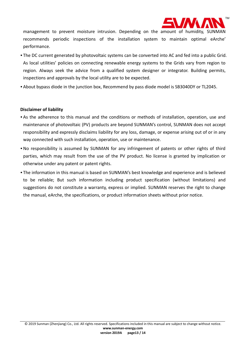

management to prevent moisture intrusion. Depending on the amount of humidity, SUNMAN recommends periodic inspections of the installation system to maintain optimal eArche' performance.

- The DC current generated by photovoltaic systems can be converted into AC and fed into a public Grid. As local utilities' policies on connecting renewable energy systems to the Grids vary from region to region. Always seek the advice from a qualified system designer or integrator. Building permits, inspections and approvals by the local utility are to be expected.
- About bypass diode in the junction box, Recommend by pass diode model is SB3040DY or TL2045.

#### **Disclaimer of liability**

- As the adherence to this manual and the conditions or methods of installation, operation, use and maintenance of photovoltaic (PV) products are beyond SUNMAN's control, SUNMAN does not accept responsibility and expressly disclaims liability for any loss, damage, or expense arising out of or in any way connected with such installation, operation, use or maintenance.
- •No responsibility is assumed by SUNMAN for any infringement of patents or other rights of third parties, which may result from the use of the PV product. No license is granted by implication or otherwise under any patent or patent rights.
- The information in this manual is based on SUNMAN's best knowledge and experience and is believed to be reliable; But such information including product specification (without limitations) and suggestions do not constitute a warranty, express or implied. SUNMAN reserves the right to change the manual, eArche, the specifications, or product information sheets without prior notice.